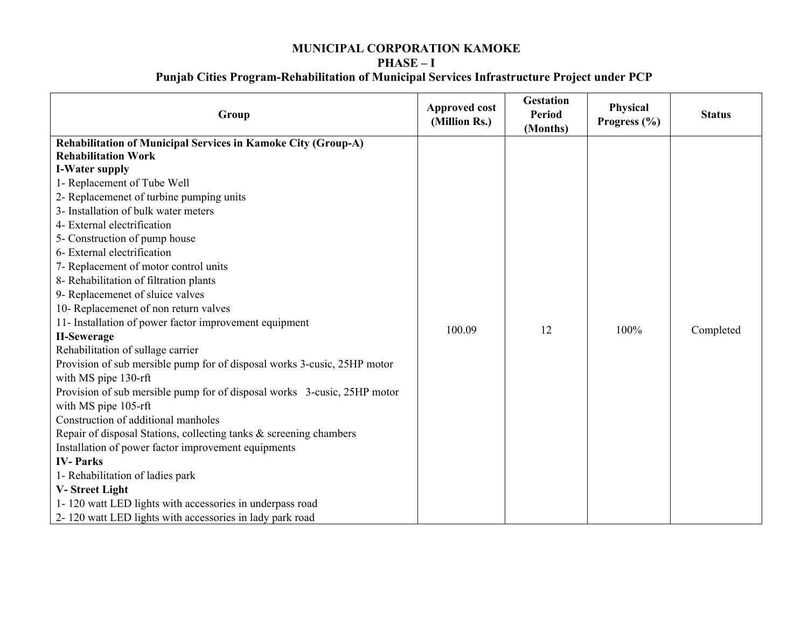## **MUNICIPAL CORPORATION KAMOKE PHASE – I**

## **Punjab Cities Program-Rehabilitation of Municipal Services Infrastructure Project under PCP**

| Group                                                                    | <b>Approved cost</b><br>(Million Rs.) | <b>Gestation</b><br><b>Period</b><br>(Months) | Physical<br>Progress $(\% )$ | <b>Status</b> |
|--------------------------------------------------------------------------|---------------------------------------|-----------------------------------------------|------------------------------|---------------|
| Rehabilitation of Municipal Services in Kamoke City (Group-A)            |                                       |                                               |                              |               |
| <b>Rehabilitation Work</b>                                               |                                       |                                               |                              |               |
| <b>I-Water supply</b>                                                    |                                       |                                               |                              |               |
| 1- Replacement of Tube Well                                              |                                       |                                               |                              |               |
| 2- Replacemenet of turbine pumping units                                 |                                       |                                               |                              |               |
| 3- Installation of bulk water meters                                     |                                       |                                               |                              |               |
| 4- External electrification                                              |                                       |                                               |                              |               |
| 5- Construction of pump house                                            |                                       |                                               |                              |               |
| 6- External electrification                                              |                                       |                                               |                              |               |
| 7- Replacement of motor control units                                    |                                       |                                               |                              |               |
| 8- Rehabilitation of filtration plants                                   |                                       |                                               |                              |               |
| 9- Replacemenet of sluice valves                                         |                                       |                                               |                              |               |
| 10- Replacemenet of non return valves                                    |                                       |                                               |                              |               |
| 11- Installation of power factor improvement equipment                   |                                       |                                               |                              |               |
| <b>II-Sewerage</b>                                                       | 100.09                                | 12                                            | 100%                         | Completed     |
| Rehabilitation of sullage carrier                                        |                                       |                                               |                              |               |
| Provision of sub mersible pump for of disposal works 3-cusic, 25HP motor |                                       |                                               |                              |               |
| with MS pipe 130-rft                                                     |                                       |                                               |                              |               |
| Provision of sub mersible pump for of disposal works 3-cusic, 25HP motor |                                       |                                               |                              |               |
| with MS pipe 105-rft                                                     |                                       |                                               |                              |               |
| Construction of additional manholes                                      |                                       |                                               |                              |               |
| Repair of disposal Stations, collecting tanks & screening chambers       |                                       |                                               |                              |               |
| Installation of power factor improvement equipments                      |                                       |                                               |                              |               |
| <b>IV-Parks</b>                                                          |                                       |                                               |                              |               |
| 1- Rehabilitation of ladies park                                         |                                       |                                               |                              |               |
| V-Street Light                                                           |                                       |                                               |                              |               |
| 1-120 watt LED lights with accessories in underpass road                 |                                       |                                               |                              |               |
| 2-120 watt LED lights with accessories in lady park road                 |                                       |                                               |                              |               |